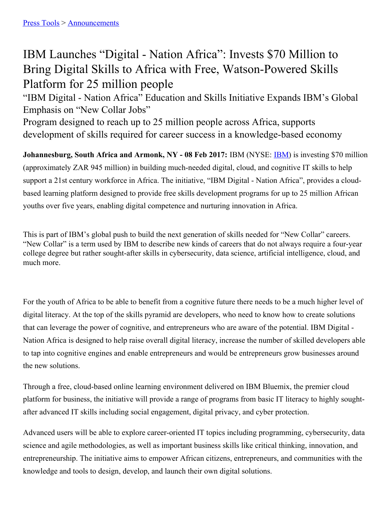## IBM Launches "Digital - Nation Africa": Invests \$70 Million to Bring Digital Skills to Africa with Free, Watson-Powered Skills Platform for 25 million people

"IBM Digital - Nation Africa" Education and Skills Initiative Expands IBM's Global Emphasis on "New Collar Jobs"

Program designed to reach up to 25 million people across Africa, supports development of skills required for career success in a knowledge-based economy

**Johannesburg, South Africa and Armonk, NY - 08 Feb 2017:** IBM (NYSE: [IBM](http://www.ibm.com/investor)) is investing \$70 million (approximately ZAR 945 million) in building much-needed digital, cloud, and cognitive IT skills to help support a 21st century workforce in Africa. The initiative, "IBM Digital - Nation Africa", provides a cloudbased learning platform designed to provide free skills development programs for up to 25 million African youths over five years, enabling digital competence and nurturing innovation in Africa.

This is part of IBM's global push to build the next generation of skills needed for "New Collar" careers. "New Collar" is a term used by IBM to describe new kinds of careers that do not always require a four-year college degree but rather sought-after skills in cybersecurity, data science, artificial intelligence, cloud, and much more.

For the youth of Africa to be able to benefit from a cognitive future there needs to be a much higher level of digital literacy. At the top of the skills pyramid are developers, who need to know how to create solutions that can leverage the power of cognitive, and entrepreneurs who are aware of the potential. IBM Digital - Nation Africa is designed to help raise overall digital literacy, increase the number of skilled developers able to tap into cognitive engines and enable entrepreneurs and would be entrepreneurs grow businesses around the new solutions.

Through a free, cloud-based online learning environment delivered on IBM Bluemix, the premier cloud platform for business, the initiative will provide a range of programs from basic IT literacy to highly soughtafter advanced IT skills including social engagement, digital privacy, and cyber protection.

Advanced users will be able to explore career-oriented IT topics including programming, cybersecurity, data science and agile methodologies, as well as important business skills like critical thinking, innovation, and entrepreneurship. The initiative aims to empower African citizens, entrepreneurs, and communities with the knowledge and tools to design, develop, and launch their own digital solutions.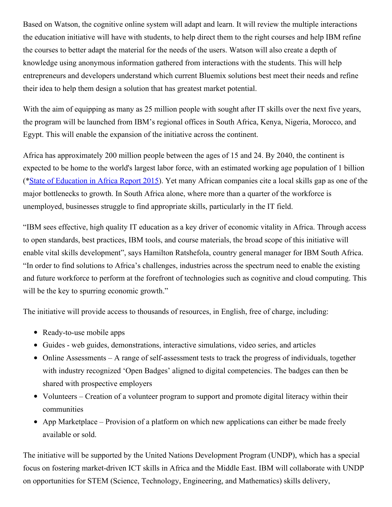Based on Watson, the cognitive online system will adapt and learn. It will review the multiple interactions the education initiative will have with students, to help direct them to the right courses and help IBM refine the courses to better adapt the material for the needs of the users. Watson will also create a depth of knowledge using anonymous information gathered from interactions with the students. This will help entrepreneurs and developers understand which current Bluemix solutions best meet their needs and refine their idea to help them design a solution that has greatest market potential.

With the aim of equipping as many as 25 million people with sought after IT skills over the next five years, the program will be launched from IBM's regional offices in South Africa, Kenya, Nigeria, Morocco, and Egypt. This will enable the expansion of the initiative across the continent.

Africa has approximately 200 million people between the ages of 15 and 24. By 2040, the continent is expected to be home to the world's largest labor force, with an estimated working age population of 1 billion (\*State of [Education](http://www.aaionline.org/wp-content/uploads/2015/09/AAI-SOE-report-2015-final.pdf) in Africa Report 2015). Yet many African companies cite a local skills gap as one of the major bottlenecks to growth. In South Africa alone, where more than a quarter of the workforce is unemployed, businesses struggle to find appropriate skills, particularly in the IT field.

"IBM sees effective, high quality IT education as a key driver of economic vitality in Africa. Through access to open standards, best practices, IBM tools, and course materials, the broad scope of this initiative will enable vital skills development", says Hamilton Ratshefola, country general manager for IBM South Africa. "In order to find solutions to Africa's challenges, industries across the spectrum need to enable the existing and future workforce to perform at the forefront of technologies such as cognitive and cloud computing. This will be the key to spurring economic growth."

The initiative will provide access to thousands of resources, in English, free of charge, including:

- Ready-to-use mobile apps
- Guides web guides, demonstrations, interactive simulations, video series, and articles
- $\bullet$  Online Assessments A range of self-assessment tests to track the progress of individuals, together with industry recognized 'Open Badges' aligned to digital competencies. The badges can then be shared with prospective employers
- Volunteers Creation of a volunteer program to support and promote digital literacy within their communities
- App Marketplace Provision of a platform on which new applications can either be made freely available or sold.

The initiative will be supported by the United Nations Development Program (UNDP), which has a special focus on fostering market-driven ICT skills in Africa and the Middle East. IBM will collaborate with UNDP on opportunities for STEM (Science, Technology, Engineering, and Mathematics) skills delivery,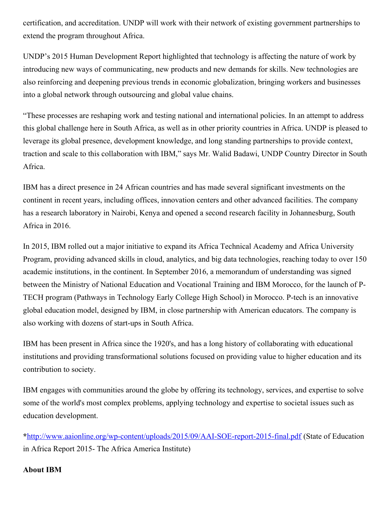certification, and accreditation. UNDP will work with their network of existing government partnerships to extend the program throughout Africa.

UNDP's 2015 Human Development Report highlighted that technology is affecting the nature of work by introducing new ways of communicating, new products and new demands for skills. New technologies are also reinforcing and deepening previous trends in economic globalization, bringing workers and businesses into a global network through outsourcing and global value chains.

"These processes are reshaping work and testing national and international policies. In an attempt to address this global challenge here in South Africa, as well as in other priority countries in Africa. UNDP is pleased to leverage its global presence, development knowledge, and long standing partnerships to provide context, traction and scale to this collaboration with IBM," says Mr. Walid Badawi, UNDP Country Director in South Africa.

IBM has a direct presence in 24 African countries and has made several significant investments on the continent in recent years, including offices, innovation centers and other advanced facilities. The company has a research laboratory in Nairobi, Kenya and opened a second research facility in Johannesburg, South Africa in 2016.

In 2015, IBM rolled out a major initiative to expand its Africa Technical Academy and Africa University Program, providing advanced skills in cloud, analytics, and big data technologies, reaching today to over 150 academic institutions, in the continent. In September 2016, a memorandum of understanding was signed between the Ministry of National Education and Vocational Training and IBM Morocco, for the launch of P-TECH program (Pathways in Technology Early College High School) in Morocco. P-tech is an innovative global education model, designed by IBM, in close partnership with American educators. The company is also working with dozens of start-ups in South Africa.

IBM has been present in Africa since the 1920's, and has a long history of collaborating with educational institutions and providing transformational solutions focused on providing value to higher education and its contribution to society.

IBM engages with communities around the globe by offering its technology, services, and expertise to solve some of the world's most complex problems, applying technology and expertise to societal issues such as education development.

**\***<http://www.aaionline.org/wp-content/uploads/2015/09/AAI-SOE-report-2015-final.pdf> (State of Education in Africa Report 2015- The Africa America Institute)

## **About IBM**